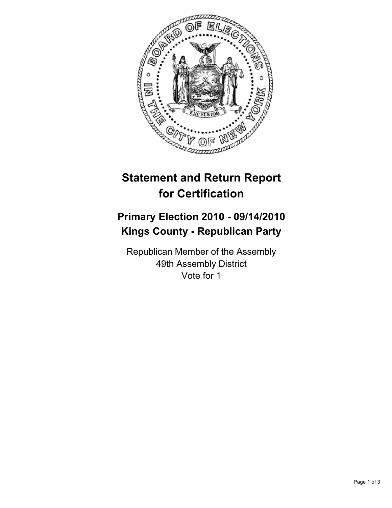

# **Statement and Return Report for Certification**

## **Primary Election 2010 - 09/14/2010 Kings County - Republican Party**

Republican Member of the Assembly 49th Assembly District Vote for 1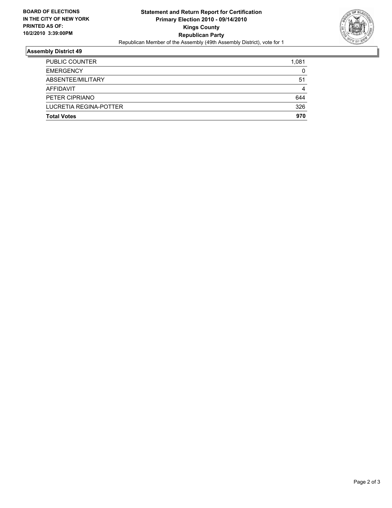

### **Assembly District 49**

| <b>Total Votes</b>     | 970   |
|------------------------|-------|
| LUCRETIA REGINA-POTTER | 326   |
| PETER CIPRIANO         | 644   |
| AFFIDAVIT              | 4     |
| ABSENTEE/MILITARY      | 51    |
| <b>EMERGENCY</b>       | 0     |
| PUBLIC COUNTER         | 1.081 |